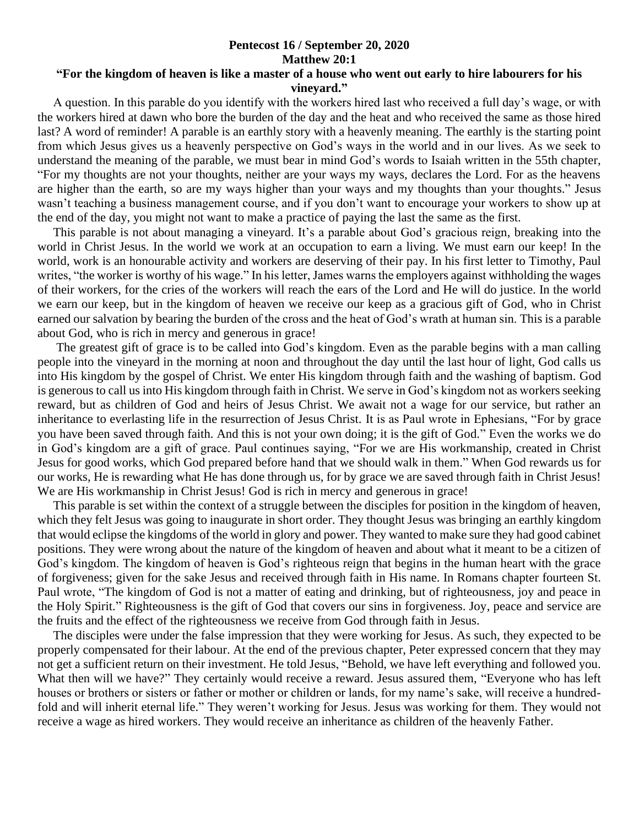## **Pentecost 16 / September 20, 2020 Matthew 20:1**

## **"For the kingdom of heaven is like a master of a house who went out early to hire labourers for his vineyard."**

 A question. In this parable do you identify with the workers hired last who received a full day's wage, or with the workers hired at dawn who bore the burden of the day and the heat and who received the same as those hired last? A word of reminder! A parable is an earthly story with a heavenly meaning. The earthly is the starting point from which Jesus gives us a heavenly perspective on God's ways in the world and in our lives. As we seek to understand the meaning of the parable, we must bear in mind God's words to Isaiah written in the 55th chapter, "For my thoughts are not your thoughts, neither are your ways my ways, declares the Lord. For as the heavens are higher than the earth, so are my ways higher than your ways and my thoughts than your thoughts." Jesus wasn't teaching a business management course, and if you don't want to encourage your workers to show up at the end of the day, you might not want to make a practice of paying the last the same as the first.

 This parable is not about managing a vineyard. It's a parable about God's gracious reign, breaking into the world in Christ Jesus. In the world we work at an occupation to earn a living. We must earn our keep! In the world, work is an honourable activity and workers are deserving of their pay. In his first letter to Timothy, Paul writes, "the worker is worthy of his wage." In his letter, James warns the employers against withholding the wages of their workers, for the cries of the workers will reach the ears of the Lord and He will do justice. In the world we earn our keep, but in the kingdom of heaven we receive our keep as a gracious gift of God, who in Christ earned our salvation by bearing the burden of the cross and the heat of God's wrath at human sin. This is a parable about God, who is rich in mercy and generous in grace!

 The greatest gift of grace is to be called into God's kingdom. Even as the parable begins with a man calling people into the vineyard in the morning at noon and throughout the day until the last hour of light, God calls us into His kingdom by the gospel of Christ. We enter His kingdom through faith and the washing of baptism. God is generous to call us into His kingdom through faith in Christ. We serve in God's kingdom not as workers seeking reward, but as children of God and heirs of Jesus Christ. We await not a wage for our service, but rather an inheritance to everlasting life in the resurrection of Jesus Christ. It is as Paul wrote in Ephesians, "For by grace you have been saved through faith. And this is not your own doing; it is the gift of God." Even the works we do in God's kingdom are a gift of grace. Paul continues saying, "For we are His workmanship, created in Christ Jesus for good works, which God prepared before hand that we should walk in them." When God rewards us for our works, He is rewarding what He has done through us, for by grace we are saved through faith in Christ Jesus! We are His workmanship in Christ Jesus! God is rich in mercy and generous in grace!

 This parable is set within the context of a struggle between the disciples for position in the kingdom of heaven, which they felt Jesus was going to inaugurate in short order. They thought Jesus was bringing an earthly kingdom that would eclipse the kingdoms of the world in glory and power. They wanted to make sure they had good cabinet positions. They were wrong about the nature of the kingdom of heaven and about what it meant to be a citizen of God's kingdom. The kingdom of heaven is God's righteous reign that begins in the human heart with the grace of forgiveness; given for the sake Jesus and received through faith in His name. In Romans chapter fourteen St. Paul wrote, "The kingdom of God is not a matter of eating and drinking, but of righteousness, joy and peace in the Holy Spirit." Righteousness is the gift of God that covers our sins in forgiveness. Joy, peace and service are the fruits and the effect of the righteousness we receive from God through faith in Jesus.

 The disciples were under the false impression that they were working for Jesus. As such, they expected to be properly compensated for their labour. At the end of the previous chapter, Peter expressed concern that they may not get a sufficient return on their investment. He told Jesus, "Behold, we have left everything and followed you. What then will we have?" They certainly would receive a reward. Jesus assured them, "Everyone who has left" houses or brothers or sisters or father or mother or children or lands, for my name's sake, will receive a hundredfold and will inherit eternal life." They weren't working for Jesus. Jesus was working for them. They would not receive a wage as hired workers. They would receive an inheritance as children of the heavenly Father.